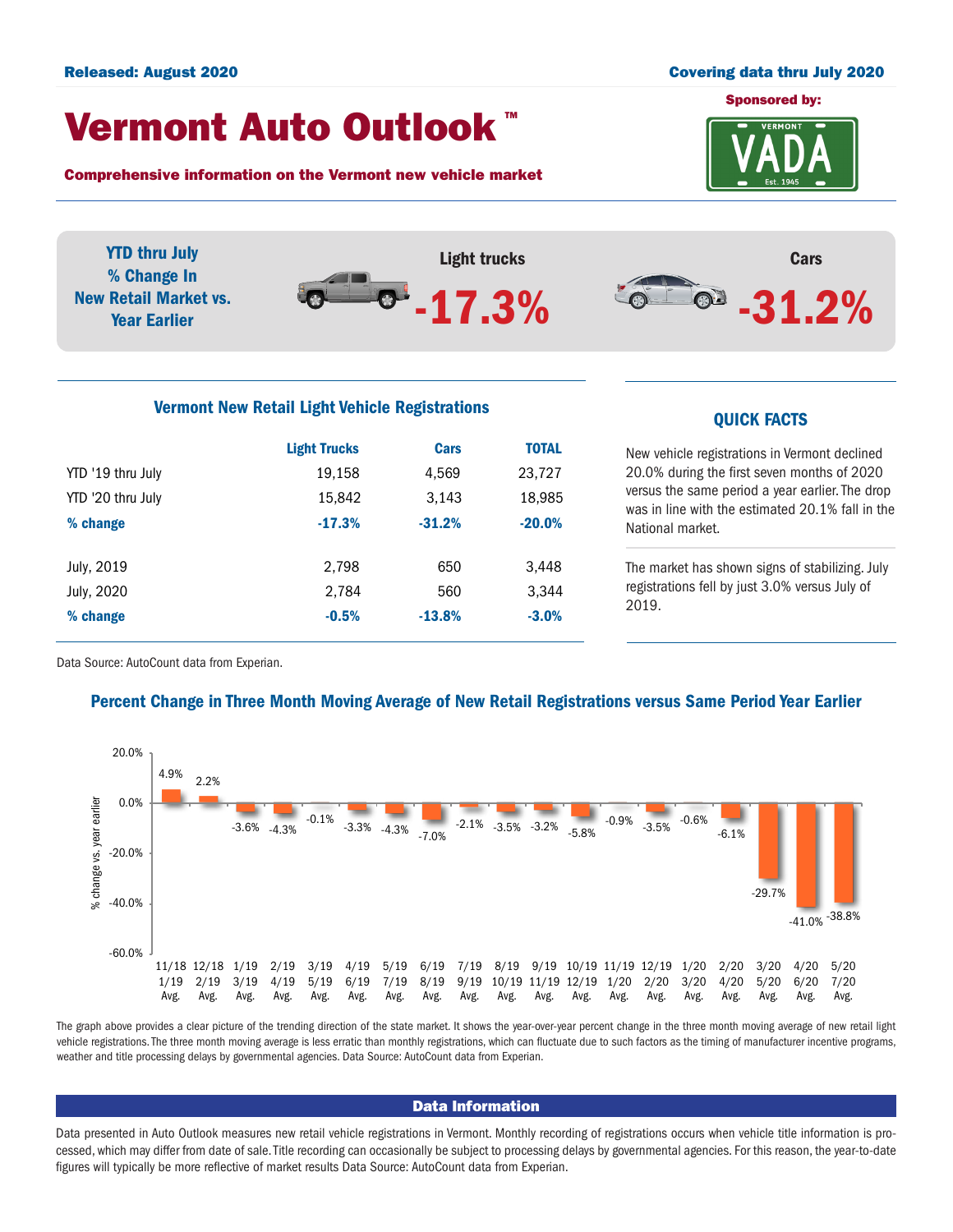#### Released: August 2020 Covering data thru July 2020

## Vermont Auto Outlook TM

Comprehensive information on the Vermont new vehicle market



YTD thru July Light trucks Cars % Change In  $-31.2%$  $\bullet$ . New Retail Market vs. -17.3% Year Earlier

# Vermont New Retail Light Vehicle Registrations<br>
QUICK FACTS

|                   | <b>Light Trucks</b> | Cars     | <b>TOTAL</b> |  |
|-------------------|---------------------|----------|--------------|--|
| YTD '19 thru July | 19,158              | 4,569    | 23,727       |  |
| YTD '20 thru July | 15,842              | 3,143    | 18,985       |  |
| % change          | $-17.3%$            | $-31.2%$ | $-20.0%$     |  |
|                   |                     |          |              |  |
| July, 2019        | 2,798               | 650      | 3,448        |  |
| July, 2020        | 2,784               | 560      | 3.344        |  |
| % change          | $-0.5%$             | $-13.8%$ | $-3.0%$      |  |
|                   |                     |          |              |  |

New vehicle registrations in Vermont declined 20.0% during the first seven months of 2020 versus the same period a year earlier. The drop was in line with the estimated 20.1% fall in the National market.

The market has shown signs of stabilizing. July registrations fell by just 3.0% versus July of 2019.

Data Source: AutoCount data from Experian.

### Percent Change in Three Month Moving Average of New Retail Registrations versus Same Period Year Earlier



The graph above provides a clear picture of the trending direction of the state market. It shows the year-over-year percent change in the three month moving average of new retail light vehicle registrations. The three month moving average is less erratic than monthly registrations, which can fluctuate due to such factors as the timing of manufacturer incentive programs, weather and title processing delays by governmental agencies. Data Source: AutoCount data from Experian.

#### Data Information

Data presented in Auto Outlook measures new retail vehicle registrations in Vermont. Monthly recording of registrations occurs when vehicle title information is processed, which may differ from date of sale. Title recording can occasionally be subject to processing delays by governmental agencies. For this reason, the year-to-date figures will typically be more reflective of market results Data Source: AutoCount data from Experian.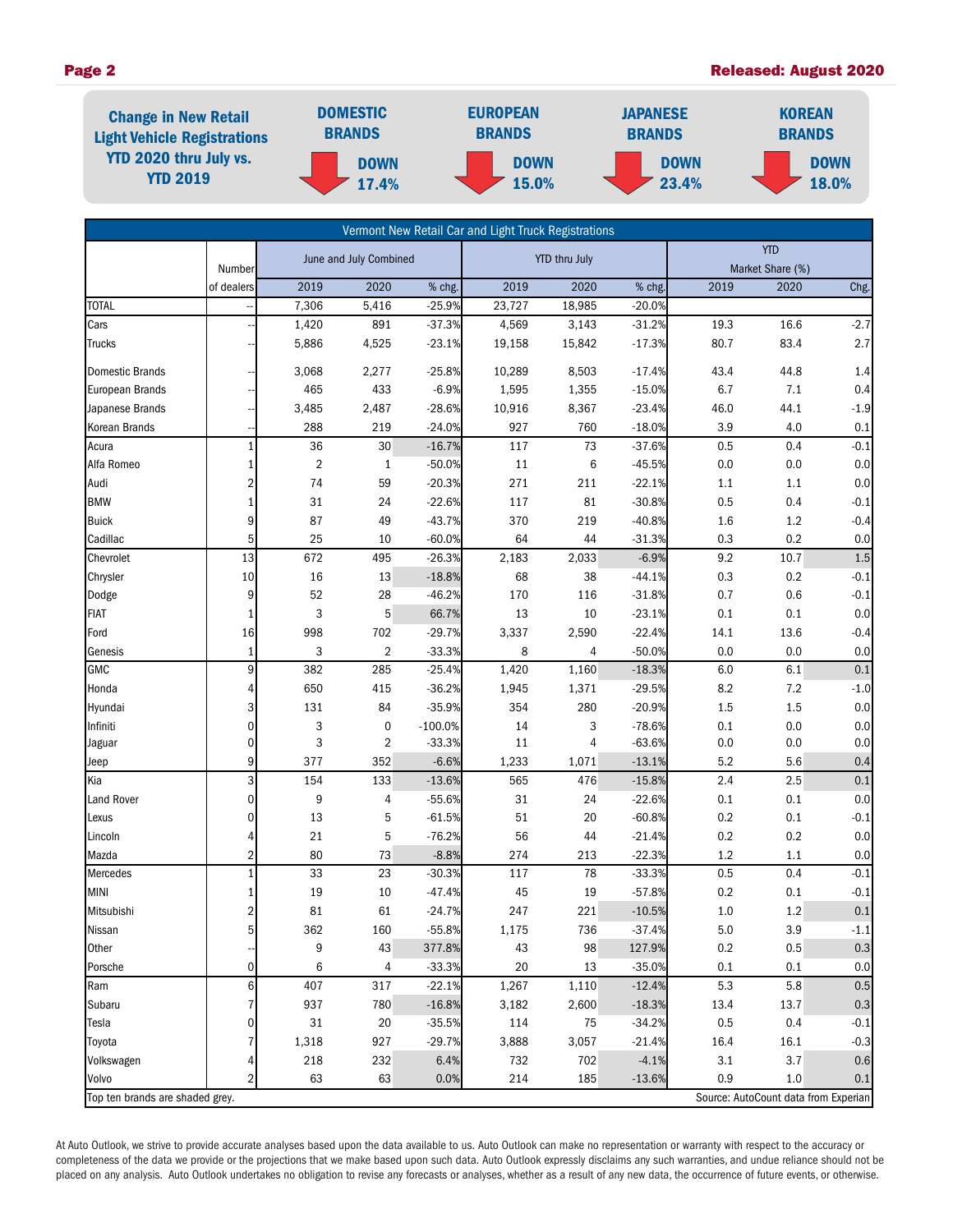#### Page 2 Released: August 2020



|                                 |                      |                        |                |                      | Vermont New Retail Car and Light Truck Registrations |        |                                |         |                                      |        |
|---------------------------------|----------------------|------------------------|----------------|----------------------|------------------------------------------------------|--------|--------------------------------|---------|--------------------------------------|--------|
|                                 |                      | June and July Combined |                | <b>YTD thru July</b> |                                                      |        | <b>YTD</b><br>Market Share (%) |         |                                      |        |
|                                 | Number<br>of dealers | 2019                   | 2020           | % chg.               | 2019                                                 | 2020   | % chg.                         | 2019    | 2020                                 | Chg.   |
| <b>TOTAL</b>                    |                      | 7,306                  | 5,416          | $-25.9%$             | 23,727                                               | 18,985 | $-20.0%$                       |         |                                      |        |
| Cars                            |                      | 1,420                  | 891            | $-37.3%$             | 4,569                                                | 3,143  | $-31.2%$                       | 19.3    | 16.6                                 | $-2.7$ |
| Trucks                          |                      | 5,886                  | 4,525          | $-23.1%$             | 19,158                                               | 15,842 | $-17.3%$                       | 80.7    | 83.4                                 | 2.7    |
|                                 |                      |                        |                |                      |                                                      |        |                                |         |                                      |        |
| Domestic Brands                 |                      | 3,068                  | 2,277          | $-25.8%$             | 10,289                                               | 8,503  | $-17.4%$                       | 43.4    | 44.8                                 | 1.4    |
| European Brands                 |                      | 465                    | 433            | $-6.9%$              | 1,595                                                | 1,355  | $-15.0%$                       | 6.7     | $7.1\,$                              | 0.4    |
| Japanese Brands                 |                      | 3,485                  | 2,487          | $-28.6%$             | 10,916                                               | 8,367  | $-23.4%$                       | 46.0    | 44.1                                 | $-1.9$ |
| <b>Korean Brands</b>            |                      | 288                    | 219            | $-24.0%$             | 927                                                  | 760    | $-18.0%$                       | 3.9     | 4.0                                  | 0.1    |
| Acura                           | $\mathbf{1}$         | 36                     | 30             | $-16.7%$             | 117                                                  | 73     | $-37.6%$                       | 0.5     | 0.4                                  | $-0.1$ |
| Alfa Romeo                      | $\mathbf{1}$         | $\overline{2}$         | $\mathbf{1}$   | $-50.0%$             | $11\,$                                               | 6      | $-45.5%$                       | $0.0\,$ | 0.0                                  | 0.0    |
| Audi                            | $\sqrt{2}$           | 74                     | 59             | $-20.3%$             | 271                                                  | 211    | $-22.1%$                       | 1.1     | 1.1                                  | 0.0    |
| <b>BMW</b>                      | $\mathbf{1}$         | 31                     | 24             | $-22.6%$             | 117                                                  | 81     | $-30.8%$                       | 0.5     | 0.4                                  | $-0.1$ |
| <b>Buick</b>                    | 9                    | 87                     | 49             | $-43.7%$             | 370                                                  | 219    | $-40.8%$                       | 1.6     | $1.2\,$                              | $-0.4$ |
| Cadillac                        | 5                    | 25                     | 10             | $-60.0%$             | 64                                                   | 44     | $-31.3%$                       | 0.3     | 0.2                                  | 0.0    |
| Chevrolet                       | 13                   | 672                    | 495            | $-26.3%$             | 2,183                                                | 2,033  | $-6.9%$                        | 9.2     | 10.7                                 | 1.5    |
| Chrysler                        | 10                   | 16                     | 13             | $-18.8%$             | 68                                                   | 38     | $-44.1%$                       | 0.3     | $0.2\,$                              | $-0.1$ |
| Dodge                           | 9                    | 52                     | 28             | $-46.2%$             | 170                                                  | 116    | $-31.8%$                       | 0.7     | 0.6                                  | $-0.1$ |
| <b>FIAT</b>                     | $\mathbf{1}$         | 3                      | 5              | 66.7%                | 13                                                   | 10     | $-23.1%$                       | 0.1     | 0.1                                  | 0.0    |
| Ford                            | 16                   | 998                    | 702            | $-29.7%$             | 3,337                                                | 2,590  | $-22.4%$                       | 14.1    | 13.6                                 | $-0.4$ |
| Genesis                         | $\mathbf{1}$         | 3                      | $\overline{2}$ | $-33.3%$             | 8                                                    | 4      | $-50.0%$                       | 0.0     | 0.0                                  | 0.0    |
| GMC                             | 9                    | 382                    | 285            | $-25.4%$             | 1,420                                                | 1,160  | $-18.3%$                       | 6.0     | 6.1                                  | 0.1    |
| Honda                           | 4                    | 650                    | 415            | $-36.2%$             | 1,945                                                | 1,371  | $-29.5%$                       | 8.2     | 7.2                                  | $-1.0$ |
| Hyundai                         | 3                    | 131                    | 84             | $-35.9%$             | 354                                                  | 280    | $-20.9%$                       | 1.5     | 1.5                                  | 0.0    |
| Infiniti                        | $\mathbf 0$          | 3                      | 0              | $-100.0%$            | 14                                                   | 3      | $-78.6%$                       | 0.1     | 0.0                                  | 0.0    |
| Jaguar                          | 0                    | 3                      | 2              | $-33.3%$             | $11\,$                                               | 4      | $-63.6%$                       | 0.0     | 0.0                                  | 0.0    |
| Jeep                            | 9                    | 377                    | 352            | $-6.6%$              | 1,233                                                | 1,071  | $-13.1%$                       | 5.2     | 5.6                                  | 0.4    |
| Kia                             | 3                    | 154                    | 133            | $-13.6%$             | 565                                                  | 476    | $-15.8%$                       | 2.4     | 2.5                                  | 0.1    |
| <b>Land Rover</b>               | $\mathbf 0$          | 9                      | 4              | $-55.6%$             | 31                                                   | 24     | $-22.6%$                       | 0.1     | 0.1                                  | 0.0    |
| Lexus                           | 0                    | 13                     | 5              | $-61.5%$             | 51                                                   | 20     | $-60.8%$                       | 0.2     | 0.1                                  | $-0.1$ |
| Lincoln                         | 4                    | 21                     | 5              | $-76.2%$             | 56                                                   | 44     | $-21.4%$                       | 0.2     | 0.2                                  | 0.0    |
| Mazda                           | $\overline{2}$       | 80                     | 73             | $-8.8%$              | 274                                                  | 213    | $-22.3%$                       | 1.2     | 1.1                                  | 0.0    |
| Mercedes                        | 1                    | 33                     | 23             | $-30.3%$             | 117                                                  | 78     | $-33.3%$                       | 0.5     | 0.4                                  | $-0.1$ |
| <b>MINI</b>                     | $\mathbf{1}$         | 19                     | 10             | $-47.4%$             | 45                                                   | 19     | $-57.8%$                       | 0.2     | 0.1                                  | $-0.1$ |
| Mitsubishi                      | $\overline{a}$       | 81                     | 61             | $-24.7%$             | 247                                                  | 221    | $-10.5%$                       | 1.0     | 1.2                                  | 0.1    |
| Nissan                          | 5                    | 362                    | 160            | $-55.8%$             | 1,175                                                | 736    | $-37.4%$                       | $5.0\,$ | 3.9                                  | $-1.1$ |
| Other                           |                      | 9                      | 43             | 377.8%               | 43                                                   | 98     | 127.9%                         | 0.2     | 0.5                                  | 0.3    |
| Porsche                         | $\mathbf 0$          | 6                      | 4              | $-33.3%$             | 20                                                   | 13     | $-35.0%$                       | 0.1     | 0.1                                  | 0.0    |
| Ram                             | 6                    | 407                    | 317            | $-22.1%$             | 1,267                                                | 1,110  | $-12.4%$                       | 5.3     | 5.8                                  | 0.5    |
| Subaru                          |                      | 937                    | 780            | $-16.8%$             | 3,182                                                | 2,600  | $-18.3%$                       | 13.4    | 13.7                                 | 0.3    |
| Tesla                           | 0                    | 31                     | 20             | $-35.5%$             | 114                                                  | 75     | $-34.2%$                       | 0.5     | 0.4                                  | $-0.1$ |
| Toyota                          |                      | 1,318                  | 927            | $-29.7%$             | 3,888                                                | 3,057  | $-21.4%$                       | 16.4    | 16.1                                 | $-0.3$ |
| Volkswagen                      |                      | 218                    | 232            | 6.4%                 | 732                                                  | 702    | $-4.1%$                        | 3.1     | 3.7                                  | 0.6    |
| Volvo                           | 2                    | 63                     | 63             | 0.0%                 | 214                                                  | 185    | $-13.6%$                       | 0.9     | 1.0                                  | 0.1    |
| Top ten brands are shaded grey. |                      |                        |                |                      |                                                      |        |                                |         | Source: AutoCount data from Experian |        |

At Auto Outlook, we strive to provide accurate analyses based upon the data available to us. Auto Outlook can make no representation or warranty with respect to the accuracy or completeness of the data we provide or the projections that we make based upon such data. Auto Outlook expressly disclaims any such warranties, and undue reliance should not be placed on any analysis. Auto Outlook undertakes no obligation to revise any forecasts or analyses, whether as a result of any new data, the occurrence of future events, or otherwise.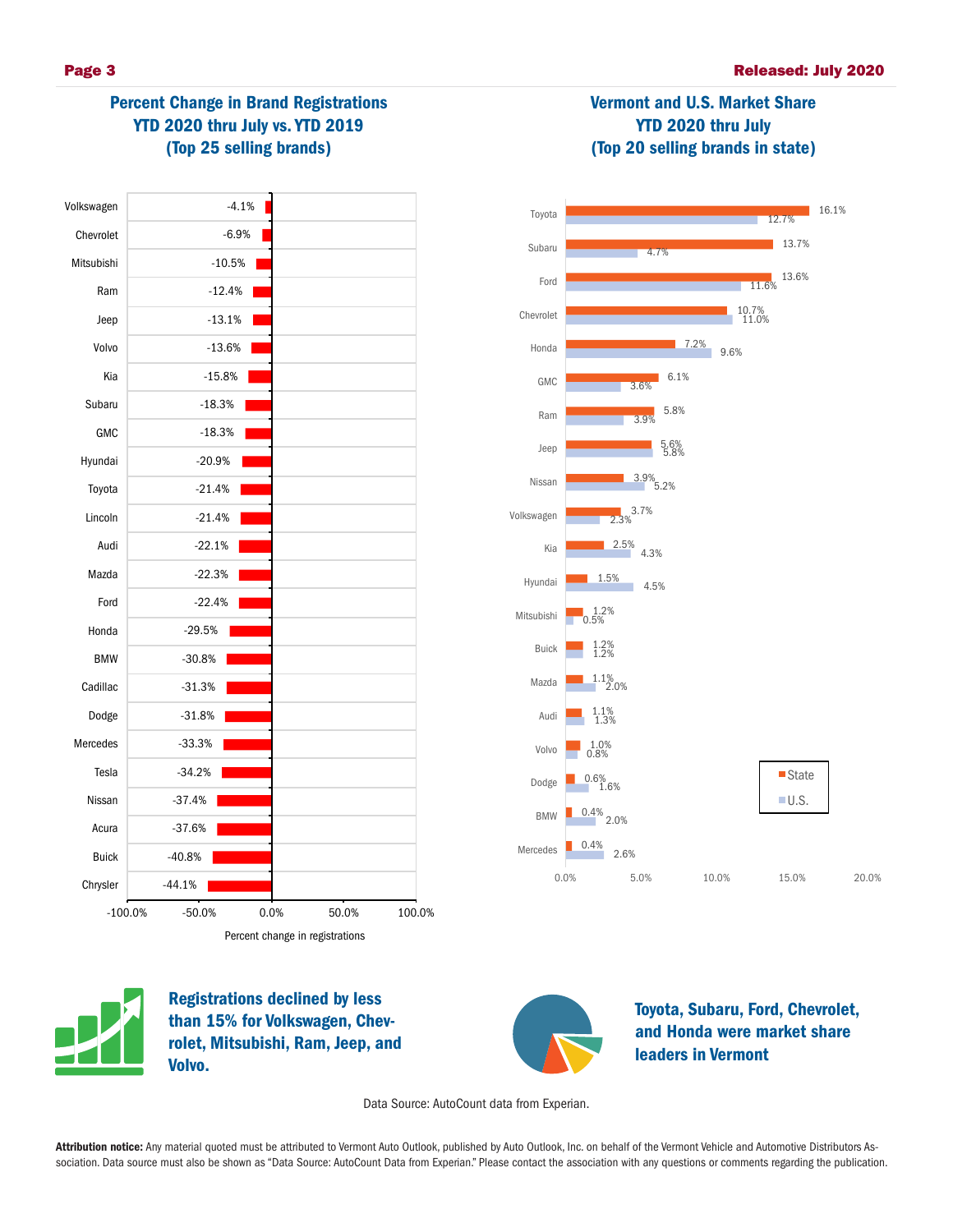# Percent Change in Brand Registrations YTD 2020 thru July vs. YTD 2019 (Top 25 selling brands)





Vermont and U.S. Market Share YTD 2020 thru July (Top 20 selling brands in state)



Registrations declined by less than 15% for Volkswagen, Chevrolet, Mitsubishi, Ram, Jeep, and Volvo.



Toyota, Subaru, Ford, Chevrolet, and Honda were market share leaders in Vermont

Data Source: AutoCount data from Experian.

Attribution notice: Any material quoted must be attributed to Vermont Auto Outlook, published by Auto Outlook, Inc. on behalf of the Vermont Vehicle and Automotive Distributors Association. Data source must also be shown as "Data Source: AutoCount Data from Experian." Please contact the association with any questions or comments regarding the publication.